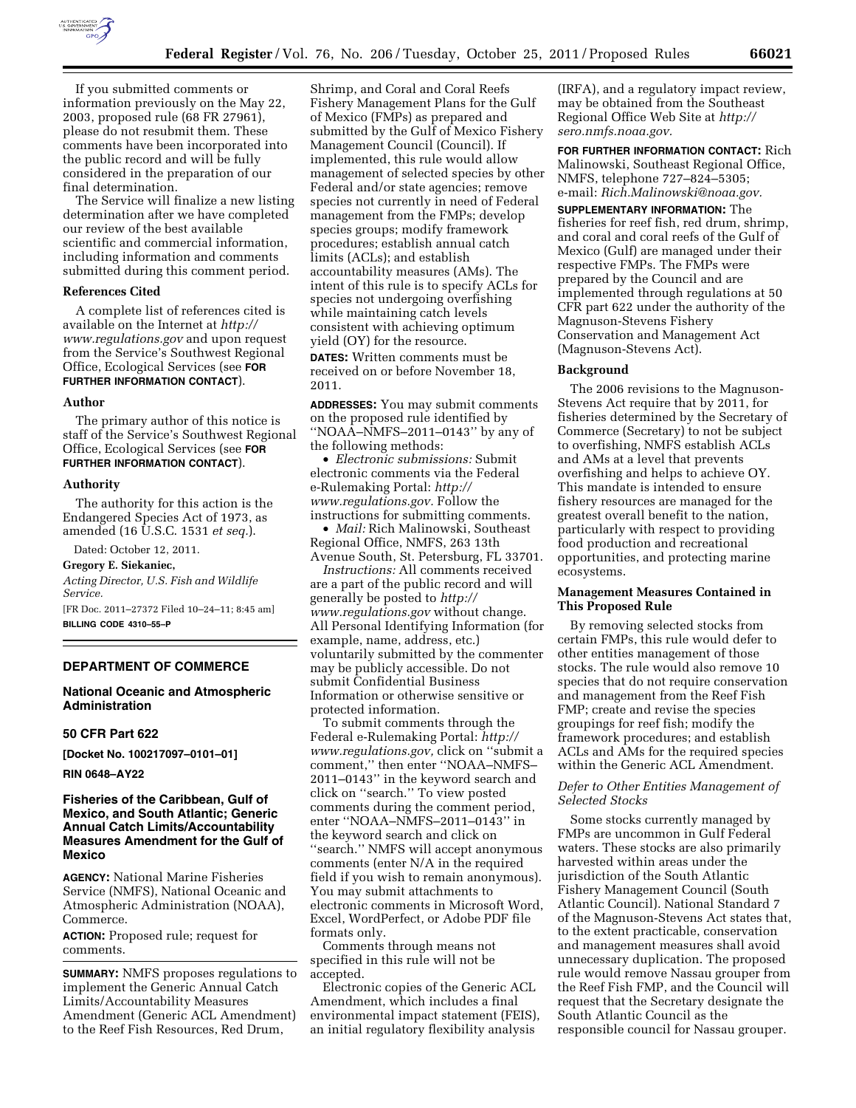

If you submitted comments or information previously on the May 22, 2003, proposed rule (68 FR 27961), please do not resubmit them. These comments have been incorporated into the public record and will be fully considered in the preparation of our final determination.

The Service will finalize a new listing determination after we have completed our review of the best available scientific and commercial information, including information and comments submitted during this comment period.

#### **References Cited**

A complete list of references cited is available on the Internet at *[http://](http://www.regulations.gov) [www.regulations.gov](http://www.regulations.gov)* and upon request from the Service's Southwest Regional Office, Ecological Services (see **FOR FURTHER INFORMATION CONTACT**).

#### **Author**

The primary author of this notice is staff of the Service's Southwest Regional Office, Ecological Services (see **FOR FURTHER INFORMATION CONTACT**).

#### **Authority**

The authority for this action is the Endangered Species Act of 1973, as amended (16 U.S.C. 1531 *et seq.*).

Dated: October 12, 2011.

#### **Gregory E. Siekaniec,**

*Acting Director, U.S. Fish and Wildlife Service.* 

[FR Doc. 2011–27372 Filed 10–24–11; 8:45 am] **BILLING CODE 4310–55–P** 

## **DEPARTMENT OF COMMERCE**

# **National Oceanic and Atmospheric Administration**

#### **50 CFR Part 622**

**[Docket No. 100217097–0101–01]** 

**RIN 0648–AY22** 

## **Fisheries of the Caribbean, Gulf of Mexico, and South Atlantic; Generic Annual Catch Limits/Accountability Measures Amendment for the Gulf of Mexico**

**AGENCY:** National Marine Fisheries Service (NMFS), National Oceanic and Atmospheric Administration (NOAA), Commerce.

**ACTION:** Proposed rule; request for comments.

**SUMMARY:** NMFS proposes regulations to implement the Generic Annual Catch Limits/Accountability Measures Amendment (Generic ACL Amendment) to the Reef Fish Resources, Red Drum,

Shrimp, and Coral and Coral Reefs Fishery Management Plans for the Gulf of Mexico (FMPs) as prepared and submitted by the Gulf of Mexico Fishery Management Council (Council). If implemented, this rule would allow management of selected species by other Federal and/or state agencies; remove species not currently in need of Federal management from the FMPs; develop species groups; modify framework procedures; establish annual catch limits (ACLs); and establish accountability measures (AMs). The intent of this rule is to specify ACLs for species not undergoing overfishing while maintaining catch levels consistent with achieving optimum yield (OY) for the resource.

**DATES:** Written comments must be received on or before November 18, 2011.

**ADDRESSES:** You may submit comments on the proposed rule identified by ''NOAA–NMFS–2011–0143'' by any of the following methods:

• *Electronic submissions:* Submit electronic comments via the Federal e-Rulemaking Portal: *[http://](http://www.regulations.gov) [www.regulations.gov.](http://www.regulations.gov)* Follow the instructions for submitting comments.

• *Mail:* Rich Malinowski, Southeast Regional Office, NMFS, 263 13th Avenue South, St. Petersburg, FL 33701.

*Instructions:* All comments received are a part of the public record and will generally be posted to *[http://](http://www.regulations.gov) [www.regulations.gov](http://www.regulations.gov)* without change. All Personal Identifying Information (for example, name, address, etc.) voluntarily submitted by the commenter may be publicly accessible. Do not submit Confidential Business Information or otherwise sensitive or protected information.

To submit comments through the Federal e-Rulemaking Portal: *[http://](http://www.regulations.gov)  [www.regulations.gov,](http://www.regulations.gov)* click on ''submit a comment,'' then enter ''NOAA–NMFS– 2011–0143'' in the keyword search and click on ''search.'' To view posted comments during the comment period, enter ''NOAA–NMFS–2011–0143'' in the keyword search and click on ''search.'' NMFS will accept anonymous comments (enter N/A in the required field if you wish to remain anonymous). You may submit attachments to electronic comments in Microsoft Word, Excel, WordPerfect, or Adobe PDF file formats only.

Comments through means not specified in this rule will not be accepted.

Electronic copies of the Generic ACL Amendment, which includes a final environmental impact statement (FEIS), an initial regulatory flexibility analysis

(IRFA), and a regulatory impact review, may be obtained from the Southeast Regional Office Web Site at *[http://](http://sero.nmfs.noaa.gov)  [sero.nmfs.noaa.gov.](http://sero.nmfs.noaa.gov)* 

**FOR FURTHER INFORMATION CONTACT:** Rich Malinowski, Southeast Regional Office, NMFS, telephone 727–824–5305; e-mail: *[Rich.Malinowski@noaa.gov.](mailto:Rich.Malinowski@noaa.gov)* 

**SUPPLEMENTARY INFORMATION:** The fisheries for reef fish, red drum, shrimp, and coral and coral reefs of the Gulf of Mexico (Gulf) are managed under their respective FMPs. The FMPs were prepared by the Council and are implemented through regulations at 50 CFR part 622 under the authority of the Magnuson-Stevens Fishery Conservation and Management Act (Magnuson-Stevens Act).

#### **Background**

The 2006 revisions to the Magnuson-Stevens Act require that by 2011, for fisheries determined by the Secretary of Commerce (Secretary) to not be subject to overfishing, NMFS establish ACLs and AMs at a level that prevents overfishing and helps to achieve OY. This mandate is intended to ensure fishery resources are managed for the greatest overall benefit to the nation, particularly with respect to providing food production and recreational opportunities, and protecting marine ecosystems.

### **Management Measures Contained in This Proposed Rule**

By removing selected stocks from certain FMPs, this rule would defer to other entities management of those stocks. The rule would also remove 10 species that do not require conservation and management from the Reef Fish FMP; create and revise the species groupings for reef fish; modify the framework procedures; and establish ACLs and AMs for the required species within the Generic ACL Amendment.

## *Defer to Other Entities Management of Selected Stocks*

Some stocks currently managed by FMPs are uncommon in Gulf Federal waters. These stocks are also primarily harvested within areas under the jurisdiction of the South Atlantic Fishery Management Council (South Atlantic Council). National Standard 7 of the Magnuson-Stevens Act states that, to the extent practicable, conservation and management measures shall avoid unnecessary duplication. The proposed rule would remove Nassau grouper from the Reef Fish FMP, and the Council will request that the Secretary designate the South Atlantic Council as the responsible council for Nassau grouper.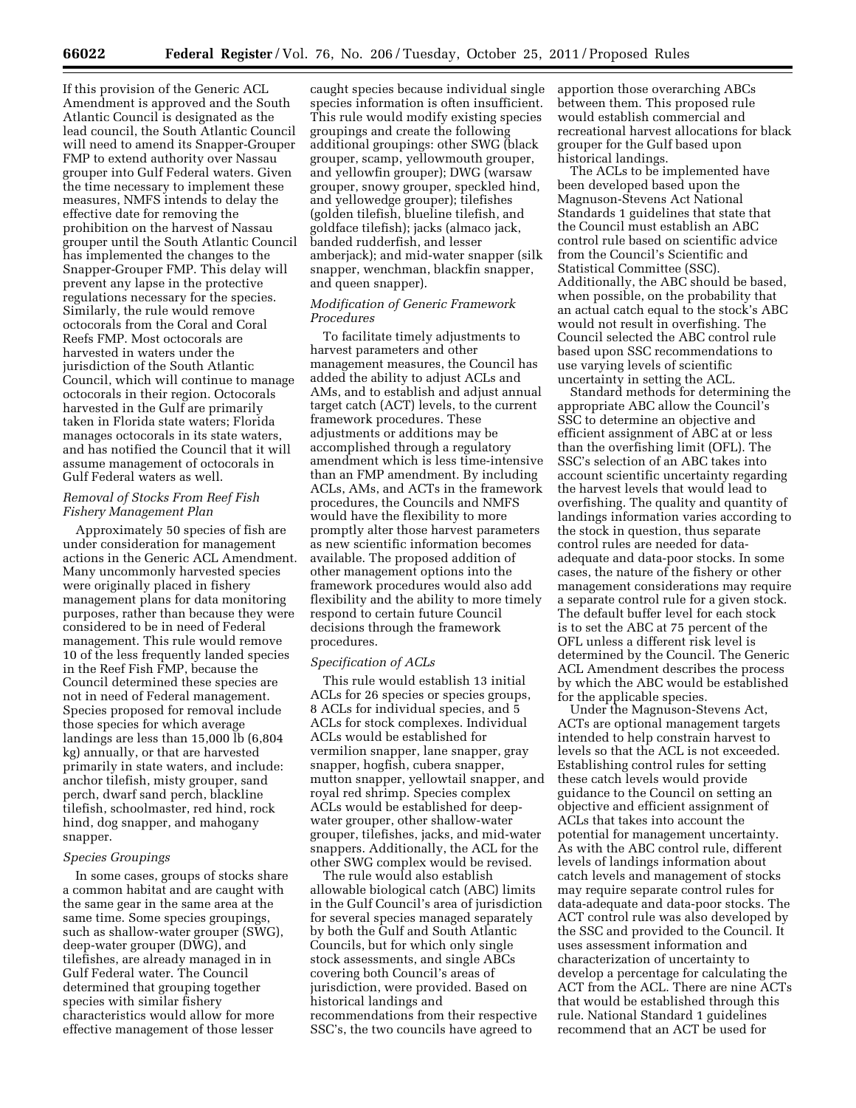If this provision of the Generic ACL Amendment is approved and the South Atlantic Council is designated as the lead council, the South Atlantic Council will need to amend its Snapper-Grouper FMP to extend authority over Nassau grouper into Gulf Federal waters. Given the time necessary to implement these measures, NMFS intends to delay the effective date for removing the prohibition on the harvest of Nassau grouper until the South Atlantic Council has implemented the changes to the Snapper-Grouper FMP. This delay will prevent any lapse in the protective regulations necessary for the species. Similarly, the rule would remove octocorals from the Coral and Coral Reefs FMP. Most octocorals are harvested in waters under the jurisdiction of the South Atlantic Council, which will continue to manage octocorals in their region. Octocorals harvested in the Gulf are primarily taken in Florida state waters; Florida manages octocorals in its state waters, and has notified the Council that it will assume management of octocorals in Gulf Federal waters as well.

## *Removal of Stocks From Reef Fish Fishery Management Plan*

Approximately 50 species of fish are under consideration for management actions in the Generic ACL Amendment. Many uncommonly harvested species were originally placed in fishery management plans for data monitoring purposes, rather than because they were considered to be in need of Federal management. This rule would remove 10 of the less frequently landed species in the Reef Fish FMP, because the Council determined these species are not in need of Federal management. Species proposed for removal include those species for which average landings are less than 15,000 lb (6,804 kg) annually, or that are harvested primarily in state waters, and include: anchor tilefish, misty grouper, sand perch, dwarf sand perch, blackline tilefish, schoolmaster, red hind, rock hind, dog snapper, and mahogany snapper.

### *Species Groupings*

In some cases, groups of stocks share a common habitat and are caught with the same gear in the same area at the same time. Some species groupings, such as shallow-water grouper (SWG), deep-water grouper (DWG), and tilefishes, are already managed in in Gulf Federal water. The Council determined that grouping together species with similar fishery characteristics would allow for more effective management of those lesser

caught species because individual single species information is often insufficient. This rule would modify existing species groupings and create the following additional groupings: other SWG (black grouper, scamp, yellowmouth grouper, and yellowfin grouper); DWG (warsaw grouper, snowy grouper, speckled hind, and yellowedge grouper); tilefishes (golden tilefish, blueline tilefish, and goldface tilefish); jacks (almaco jack, banded rudderfish, and lesser amberjack); and mid-water snapper (silk snapper, wenchman, blackfin snapper, and queen snapper).

## *Modification of Generic Framework Procedures*

To facilitate timely adjustments to harvest parameters and other management measures, the Council has added the ability to adjust ACLs and AMs, and to establish and adjust annual target catch (ACT) levels, to the current framework procedures. These adjustments or additions may be accomplished through a regulatory amendment which is less time-intensive than an FMP amendment. By including ACLs, AMs, and ACTs in the framework procedures, the Councils and NMFS would have the flexibility to more promptly alter those harvest parameters as new scientific information becomes available. The proposed addition of other management options into the framework procedures would also add flexibility and the ability to more timely respond to certain future Council decisions through the framework procedures.

## *Specification of ACLs*

This rule would establish 13 initial ACLs for 26 species or species groups, 8 ACLs for individual species, and 5 ACLs for stock complexes. Individual ACLs would be established for vermilion snapper, lane snapper, gray snapper, hogfish, cubera snapper, mutton snapper, yellowtail snapper, and royal red shrimp. Species complex ACLs would be established for deepwater grouper, other shallow-water grouper, tilefishes, jacks, and mid-water snappers. Additionally, the ACL for the other SWG complex would be revised.

The rule would also establish allowable biological catch (ABC) limits in the Gulf Council's area of jurisdiction for several species managed separately by both the Gulf and South Atlantic Councils, but for which only single stock assessments, and single ABCs covering both Council's areas of jurisdiction, were provided. Based on historical landings and recommendations from their respective SSC's, the two councils have agreed to

apportion those overarching ABCs between them. This proposed rule would establish commercial and recreational harvest allocations for black grouper for the Gulf based upon historical landings.

The ACLs to be implemented have been developed based upon the Magnuson-Stevens Act National Standards 1 guidelines that state that the Council must establish an ABC control rule based on scientific advice from the Council's Scientific and Statistical Committee (SSC). Additionally, the ABC should be based, when possible, on the probability that an actual catch equal to the stock's ABC would not result in overfishing. The Council selected the ABC control rule based upon SSC recommendations to use varying levels of scientific uncertainty in setting the ACL.

Standard methods for determining the appropriate ABC allow the Council's SSC to determine an objective and efficient assignment of ABC at or less than the overfishing limit (OFL). The SSC's selection of an ABC takes into account scientific uncertainty regarding the harvest levels that would lead to overfishing. The quality and quantity of landings information varies according to the stock in question, thus separate control rules are needed for dataadequate and data-poor stocks. In some cases, the nature of the fishery or other management considerations may require a separate control rule for a given stock. The default buffer level for each stock is to set the ABC at 75 percent of the OFL unless a different risk level is determined by the Council. The Generic ACL Amendment describes the process by which the ABC would be established for the applicable species.

Under the Magnuson-Stevens Act, ACTs are optional management targets intended to help constrain harvest to levels so that the ACL is not exceeded. Establishing control rules for setting these catch levels would provide guidance to the Council on setting an objective and efficient assignment of ACLs that takes into account the potential for management uncertainty. As with the ABC control rule, different levels of landings information about catch levels and management of stocks may require separate control rules for data-adequate and data-poor stocks. The ACT control rule was also developed by the SSC and provided to the Council. It uses assessment information and characterization of uncertainty to develop a percentage for calculating the ACT from the ACL. There are nine ACTs that would be established through this rule. National Standard 1 guidelines recommend that an ACT be used for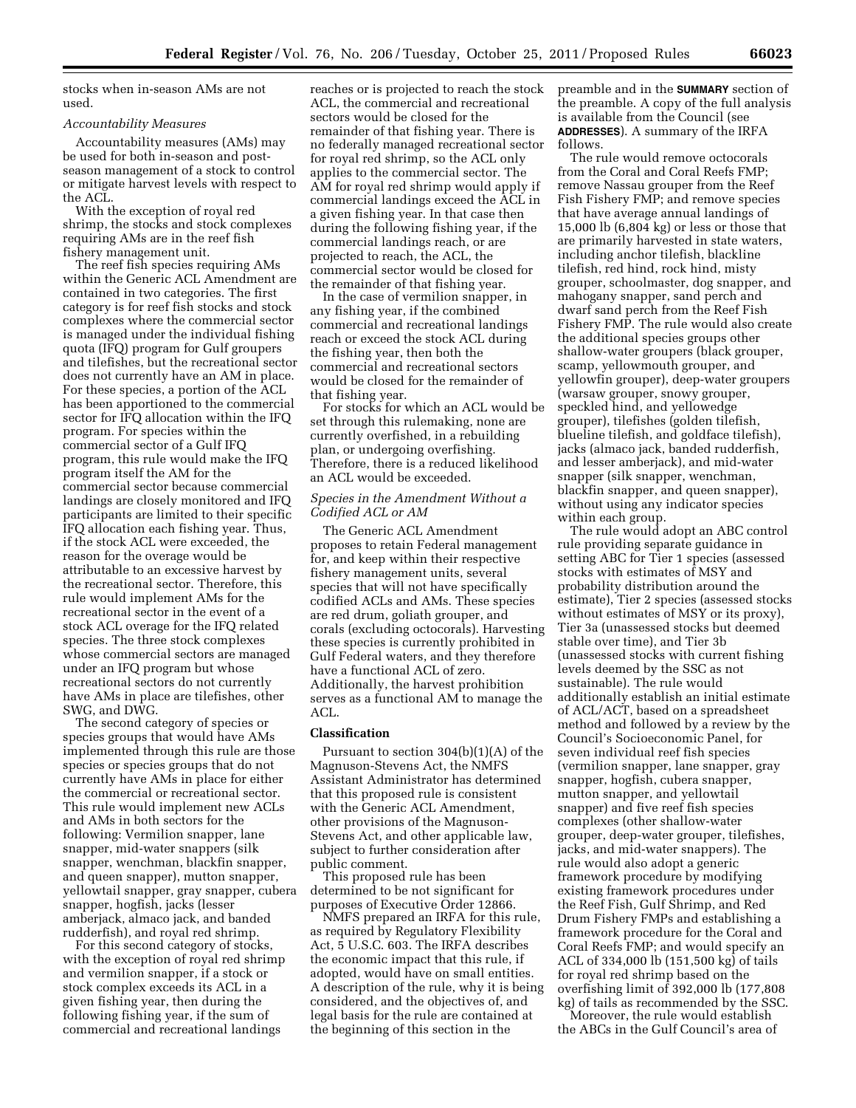stocks when in-season AMs are not used.

#### *Accountability Measures*

Accountability measures (AMs) may be used for both in-season and postseason management of a stock to control or mitigate harvest levels with respect to the ACL.

With the exception of royal red shrimp, the stocks and stock complexes requiring AMs are in the reef fish fishery management unit.

The reef fish species requiring AMs within the Generic ACL Amendment are contained in two categories. The first category is for reef fish stocks and stock complexes where the commercial sector is managed under the individual fishing quota (IFQ) program for Gulf groupers and tilefishes, but the recreational sector does not currently have an AM in place. For these species, a portion of the ACL has been apportioned to the commercial sector for IFQ allocation within the IFQ program. For species within the commercial sector of a Gulf IFQ program, this rule would make the IFQ program itself the AM for the commercial sector because commercial landings are closely monitored and IFQ participants are limited to their specific IFQ allocation each fishing year. Thus, if the stock ACL were exceeded, the reason for the overage would be attributable to an excessive harvest by the recreational sector. Therefore, this rule would implement AMs for the recreational sector in the event of a stock ACL overage for the IFQ related species. The three stock complexes whose commercial sectors are managed under an IFQ program but whose recreational sectors do not currently have AMs in place are tilefishes, other SWG, and DWG.

The second category of species or species groups that would have AMs implemented through this rule are those species or species groups that do not currently have AMs in place for either the commercial or recreational sector. This rule would implement new ACLs and AMs in both sectors for the following: Vermilion snapper, lane snapper, mid-water snappers (silk snapper, wenchman, blackfin snapper, and queen snapper), mutton snapper, yellowtail snapper, gray snapper, cubera snapper, hogfish, jacks (lesser amberjack, almaco jack, and banded rudderfish), and royal red shrimp.

For this second category of stocks, with the exception of royal red shrimp and vermilion snapper, if a stock or stock complex exceeds its ACL in a given fishing year, then during the following fishing year, if the sum of commercial and recreational landings

reaches or is projected to reach the stock ACL, the commercial and recreational sectors would be closed for the remainder of that fishing year. There is no federally managed recreational sector for royal red shrimp, so the ACL only applies to the commercial sector. The AM for royal red shrimp would apply if commercial landings exceed the ACL in a given fishing year. In that case then during the following fishing year, if the commercial landings reach, or are projected to reach, the ACL, the commercial sector would be closed for the remainder of that fishing year.

In the case of vermilion snapper, in any fishing year, if the combined commercial and recreational landings reach or exceed the stock ACL during the fishing year, then both the commercial and recreational sectors would be closed for the remainder of that fishing year.

For stocks for which an ACL would be set through this rulemaking, none are currently overfished, in a rebuilding plan, or undergoing overfishing. Therefore, there is a reduced likelihood an ACL would be exceeded.

## *Species in the Amendment Without a Codified ACL or AM*

The Generic ACL Amendment proposes to retain Federal management for, and keep within their respective fishery management units, several species that will not have specifically codified ACLs and AMs. These species are red drum, goliath grouper, and corals (excluding octocorals). Harvesting these species is currently prohibited in Gulf Federal waters, and they therefore have a functional ACL of zero. Additionally, the harvest prohibition serves as a functional AM to manage the  $ACL$ .

#### **Classification**

Pursuant to section 304(b)(1)(A) of the Magnuson-Stevens Act, the NMFS Assistant Administrator has determined that this proposed rule is consistent with the Generic ACL Amendment, other provisions of the Magnuson-Stevens Act, and other applicable law, subject to further consideration after public comment.

This proposed rule has been determined to be not significant for purposes of Executive Order 12866.

NMFS prepared an IRFA for this rule, as required by Regulatory Flexibility Act, 5 U.S.C. 603. The IRFA describes the economic impact that this rule, if adopted, would have on small entities. A description of the rule, why it is being considered, and the objectives of, and legal basis for the rule are contained at the beginning of this section in the

preamble and in the **SUMMARY** section of the preamble. A copy of the full analysis is available from the Council (see **ADDRESSES**). A summary of the IRFA follows.

The rule would remove octocorals from the Coral and Coral Reefs FMP; remove Nassau grouper from the Reef Fish Fishery FMP; and remove species that have average annual landings of 15,000 lb (6,804 kg) or less or those that are primarily harvested in state waters, including anchor tilefish, blackline tilefish, red hind, rock hind, misty grouper, schoolmaster, dog snapper, and mahogany snapper, sand perch and dwarf sand perch from the Reef Fish Fishery FMP. The rule would also create the additional species groups other shallow-water groupers (black grouper, scamp, yellowmouth grouper, and yellowfin grouper), deep-water groupers (warsaw grouper, snowy grouper, speckled hind, and yellowedge grouper), tilefishes (golden tilefish, blueline tilefish, and goldface tilefish), jacks (almaco jack, banded rudderfish, and lesser amberjack), and mid-water snapper (silk snapper, wenchman, blackfin snapper, and queen snapper), without using any indicator species within each group.

The rule would adopt an ABC control rule providing separate guidance in setting ABC for Tier 1 species (assessed stocks with estimates of MSY and probability distribution around the estimate), Tier 2 species (assessed stocks without estimates of MSY or its proxy), Tier 3a (unassessed stocks but deemed stable over time), and Tier 3b (unassessed stocks with current fishing levels deemed by the SSC as not sustainable). The rule would additionally establish an initial estimate of ACL/ACT, based on a spreadsheet method and followed by a review by the Council's Socioeconomic Panel, for seven individual reef fish species (vermilion snapper, lane snapper, gray snapper, hogfish, cubera snapper, mutton snapper, and yellowtail snapper) and five reef fish species complexes (other shallow-water grouper, deep-water grouper, tilefishes, jacks, and mid-water snappers). The rule would also adopt a generic framework procedure by modifying existing framework procedures under the Reef Fish, Gulf Shrimp, and Red Drum Fishery FMPs and establishing a framework procedure for the Coral and Coral Reefs FMP; and would specify an ACL of 334,000 lb (151,500 kg) of tails for royal red shrimp based on the overfishing limit of 392,000 lb (177,808 kg) of tails as recommended by the SSC.

Moreover, the rule would establish the ABCs in the Gulf Council's area of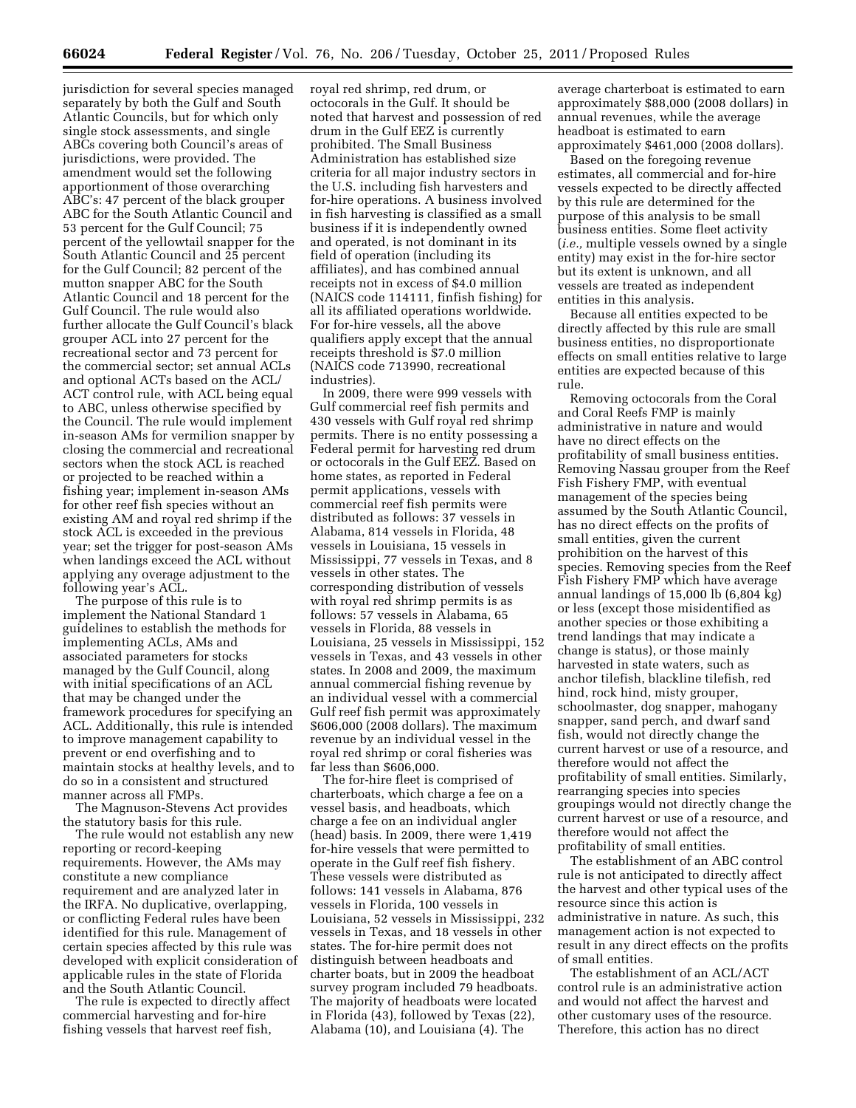jurisdiction for several species managed separately by both the Gulf and South Atlantic Councils, but for which only single stock assessments, and single ABCs covering both Council's areas of jurisdictions, were provided. The amendment would set the following apportionment of those overarching ABC's: 47 percent of the black grouper ABC for the South Atlantic Council and 53 percent for the Gulf Council; 75 percent of the yellowtail snapper for the South Atlantic Council and 25 percent for the Gulf Council; 82 percent of the mutton snapper ABC for the South Atlantic Council and 18 percent for the Gulf Council. The rule would also further allocate the Gulf Council's black grouper ACL into 27 percent for the recreational sector and 73 percent for the commercial sector; set annual ACLs and optional ACTs based on the ACL/ ACT control rule, with ACL being equal to ABC, unless otherwise specified by the Council. The rule would implement in-season AMs for vermilion snapper by closing the commercial and recreational sectors when the stock ACL is reached or projected to be reached within a fishing year; implement in-season AMs for other reef fish species without an existing AM and royal red shrimp if the stock ACL is exceeded in the previous year; set the trigger for post-season AMs when landings exceed the ACL without applying any overage adjustment to the following year's ACL.

The purpose of this rule is to implement the National Standard 1 guidelines to establish the methods for implementing ACLs, AMs and associated parameters for stocks managed by the Gulf Council, along with initial specifications of an ACL that may be changed under the framework procedures for specifying an ACL. Additionally, this rule is intended to improve management capability to prevent or end overfishing and to maintain stocks at healthy levels, and to do so in a consistent and structured manner across all FMPs.

The Magnuson-Stevens Act provides the statutory basis for this rule.

The rule would not establish any new reporting or record-keeping requirements. However, the AMs may constitute a new compliance requirement and are analyzed later in the IRFA. No duplicative, overlapping, or conflicting Federal rules have been identified for this rule. Management of certain species affected by this rule was developed with explicit consideration of applicable rules in the state of Florida and the South Atlantic Council.

The rule is expected to directly affect commercial harvesting and for-hire fishing vessels that harvest reef fish,

royal red shrimp, red drum, or octocorals in the Gulf. It should be noted that harvest and possession of red drum in the Gulf EEZ is currently prohibited. The Small Business Administration has established size criteria for all major industry sectors in the U.S. including fish harvesters and for-hire operations. A business involved in fish harvesting is classified as a small business if it is independently owned and operated, is not dominant in its field of operation (including its affiliates), and has combined annual receipts not in excess of \$4.0 million (NAICS code 114111, finfish fishing) for all its affiliated operations worldwide. For for-hire vessels, all the above qualifiers apply except that the annual receipts threshold is \$7.0 million (NAICS code 713990, recreational industries).

In 2009, there were 999 vessels with Gulf commercial reef fish permits and 430 vessels with Gulf royal red shrimp permits. There is no entity possessing a Federal permit for harvesting red drum or octocorals in the Gulf EEZ. Based on home states, as reported in Federal permit applications, vessels with commercial reef fish permits were distributed as follows: 37 vessels in Alabama, 814 vessels in Florida, 48 vessels in Louisiana, 15 vessels in Mississippi, 77 vessels in Texas, and 8 vessels in other states. The corresponding distribution of vessels with royal red shrimp permits is as follows: 57 vessels in Alabama, 65 vessels in Florida, 88 vessels in Louisiana, 25 vessels in Mississippi, 152 vessels in Texas, and 43 vessels in other states. In 2008 and 2009, the maximum annual commercial fishing revenue by an individual vessel with a commercial Gulf reef fish permit was approximately \$606,000 (2008 dollars). The maximum revenue by an individual vessel in the royal red shrimp or coral fisheries was far less than \$606,000.

The for-hire fleet is comprised of charterboats, which charge a fee on a vessel basis, and headboats, which charge a fee on an individual angler (head) basis. In 2009, there were 1,419 for-hire vessels that were permitted to operate in the Gulf reef fish fishery. These vessels were distributed as follows: 141 vessels in Alabama, 876 vessels in Florida, 100 vessels in Louisiana, 52 vessels in Mississippi, 232 vessels in Texas, and 18 vessels in other states. The for-hire permit does not distinguish between headboats and charter boats, but in 2009 the headboat survey program included 79 headboats. The majority of headboats were located in Florida (43), followed by Texas (22), Alabama (10), and Louisiana (4). The

average charterboat is estimated to earn approximately \$88,000 (2008 dollars) in annual revenues, while the average headboat is estimated to earn approximately \$461,000 (2008 dollars).

Based on the foregoing revenue estimates, all commercial and for-hire vessels expected to be directly affected by this rule are determined for the purpose of this analysis to be small business entities. Some fleet activity (*i.e.,* multiple vessels owned by a single entity) may exist in the for-hire sector but its extent is unknown, and all vessels are treated as independent entities in this analysis.

Because all entities expected to be directly affected by this rule are small business entities, no disproportionate effects on small entities relative to large entities are expected because of this rule.

Removing octocorals from the Coral and Coral Reefs FMP is mainly administrative in nature and would have no direct effects on the profitability of small business entities. Removing Nassau grouper from the Reef Fish Fishery FMP, with eventual management of the species being assumed by the South Atlantic Council, has no direct effects on the profits of small entities, given the current prohibition on the harvest of this species. Removing species from the Reef Fish Fishery FMP which have average annual landings of 15,000 lb (6,804 kg) or less (except those misidentified as another species or those exhibiting a trend landings that may indicate a change is status), or those mainly harvested in state waters, such as anchor tilefish, blackline tilefish, red hind, rock hind, misty grouper, schoolmaster, dog snapper, mahogany snapper, sand perch, and dwarf sand fish, would not directly change the current harvest or use of a resource, and therefore would not affect the profitability of small entities. Similarly, rearranging species into species groupings would not directly change the current harvest or use of a resource, and therefore would not affect the profitability of small entities.

The establishment of an ABC control rule is not anticipated to directly affect the harvest and other typical uses of the resource since this action is administrative in nature. As such, this management action is not expected to result in any direct effects on the profits of small entities.

The establishment of an ACL/ACT control rule is an administrative action and would not affect the harvest and other customary uses of the resource. Therefore, this action has no direct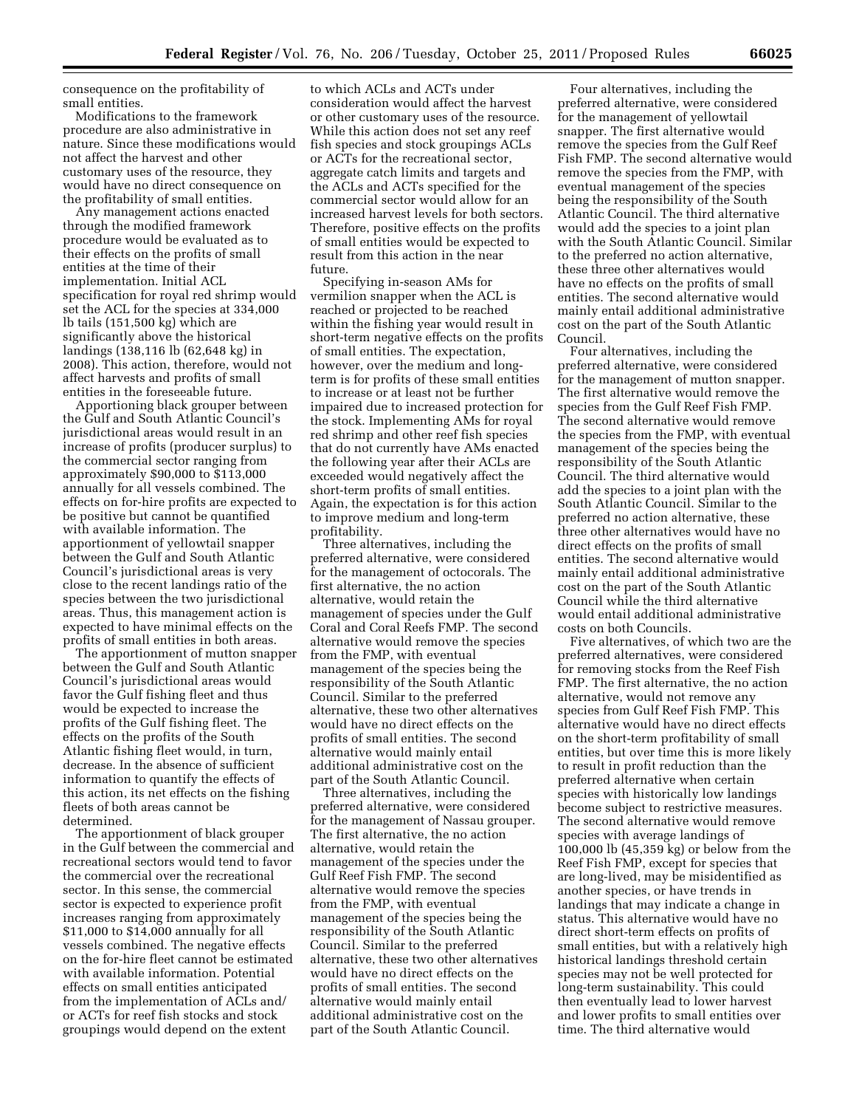consequence on the profitability of small entities.

Modifications to the framework procedure are also administrative in nature. Since these modifications would not affect the harvest and other customary uses of the resource, they would have no direct consequence on the profitability of small entities.

Any management actions enacted through the modified framework procedure would be evaluated as to their effects on the profits of small entities at the time of their implementation. Initial ACL specification for royal red shrimp would set the ACL for the species at 334,000 lb tails (151,500 kg) which are significantly above the historical landings (138,116 lb (62,648 kg) in 2008). This action, therefore, would not affect harvests and profits of small entities in the foreseeable future.

Apportioning black grouper between the Gulf and South Atlantic Council's jurisdictional areas would result in an increase of profits (producer surplus) to the commercial sector ranging from approximately \$90,000 to \$113,000 annually for all vessels combined. The effects on for-hire profits are expected to be positive but cannot be quantified with available information. The apportionment of yellowtail snapper between the Gulf and South Atlantic Council's jurisdictional areas is very close to the recent landings ratio of the species between the two jurisdictional areas. Thus, this management action is expected to have minimal effects on the profits of small entities in both areas.

The apportionment of mutton snapper between the Gulf and South Atlantic Council's jurisdictional areas would favor the Gulf fishing fleet and thus would be expected to increase the profits of the Gulf fishing fleet. The effects on the profits of the South Atlantic fishing fleet would, in turn, decrease. In the absence of sufficient information to quantify the effects of this action, its net effects on the fishing fleets of both areas cannot be determined.

The apportionment of black grouper in the Gulf between the commercial and recreational sectors would tend to favor the commercial over the recreational sector. In this sense, the commercial sector is expected to experience profit increases ranging from approximately \$11,000 to \$14,000 annually for all vessels combined. The negative effects on the for-hire fleet cannot be estimated with available information. Potential effects on small entities anticipated from the implementation of ACLs and/ or ACTs for reef fish stocks and stock groupings would depend on the extent

to which ACLs and ACTs under consideration would affect the harvest or other customary uses of the resource. While this action does not set any reef fish species and stock groupings ACLs or ACTs for the recreational sector, aggregate catch limits and targets and the ACLs and ACTs specified for the commercial sector would allow for an increased harvest levels for both sectors. Therefore, positive effects on the profits of small entities would be expected to result from this action in the near future.

Specifying in-season AMs for vermilion snapper when the ACL is reached or projected to be reached within the fishing year would result in short-term negative effects on the profits of small entities. The expectation, however, over the medium and longterm is for profits of these small entities to increase or at least not be further impaired due to increased protection for the stock. Implementing AMs for royal red shrimp and other reef fish species that do not currently have AMs enacted the following year after their ACLs are exceeded would negatively affect the short-term profits of small entities. Again, the expectation is for this action to improve medium and long-term profitability.

Three alternatives, including the preferred alternative, were considered for the management of octocorals. The first alternative, the no action alternative, would retain the management of species under the Gulf Coral and Coral Reefs FMP. The second alternative would remove the species from the FMP, with eventual management of the species being the responsibility of the South Atlantic Council. Similar to the preferred alternative, these two other alternatives would have no direct effects on the profits of small entities. The second alternative would mainly entail additional administrative cost on the part of the South Atlantic Council.

Three alternatives, including the preferred alternative, were considered for the management of Nassau grouper. The first alternative, the no action alternative, would retain the management of the species under the Gulf Reef Fish FMP. The second alternative would remove the species from the FMP, with eventual management of the species being the responsibility of the South Atlantic Council. Similar to the preferred alternative, these two other alternatives would have no direct effects on the profits of small entities. The second alternative would mainly entail additional administrative cost on the part of the South Atlantic Council.

Four alternatives, including the preferred alternative, were considered for the management of yellowtail snapper. The first alternative would remove the species from the Gulf Reef Fish FMP. The second alternative would remove the species from the FMP, with eventual management of the species being the responsibility of the South Atlantic Council. The third alternative would add the species to a joint plan with the South Atlantic Council. Similar to the preferred no action alternative, these three other alternatives would have no effects on the profits of small entities. The second alternative would mainly entail additional administrative cost on the part of the South Atlantic Council.

Four alternatives, including the preferred alternative, were considered for the management of mutton snapper. The first alternative would remove the species from the Gulf Reef Fish FMP. The second alternative would remove the species from the FMP, with eventual management of the species being the responsibility of the South Atlantic Council. The third alternative would add the species to a joint plan with the South Atlantic Council. Similar to the preferred no action alternative, these three other alternatives would have no direct effects on the profits of small entities. The second alternative would mainly entail additional administrative cost on the part of the South Atlantic Council while the third alternative would entail additional administrative costs on both Councils.

Five alternatives, of which two are the preferred alternatives, were considered for removing stocks from the Reef Fish FMP. The first alternative, the no action alternative, would not remove any species from Gulf Reef Fish FMP. This alternative would have no direct effects on the short-term profitability of small entities, but over time this is more likely to result in profit reduction than the preferred alternative when certain species with historically low landings become subject to restrictive measures. The second alternative would remove species with average landings of 100,000 lb (45,359 kg) or below from the Reef Fish FMP, except for species that are long-lived, may be misidentified as another species, or have trends in landings that may indicate a change in status. This alternative would have no direct short-term effects on profits of small entities, but with a relatively high historical landings threshold certain species may not be well protected for long-term sustainability. This could then eventually lead to lower harvest and lower profits to small entities over time. The third alternative would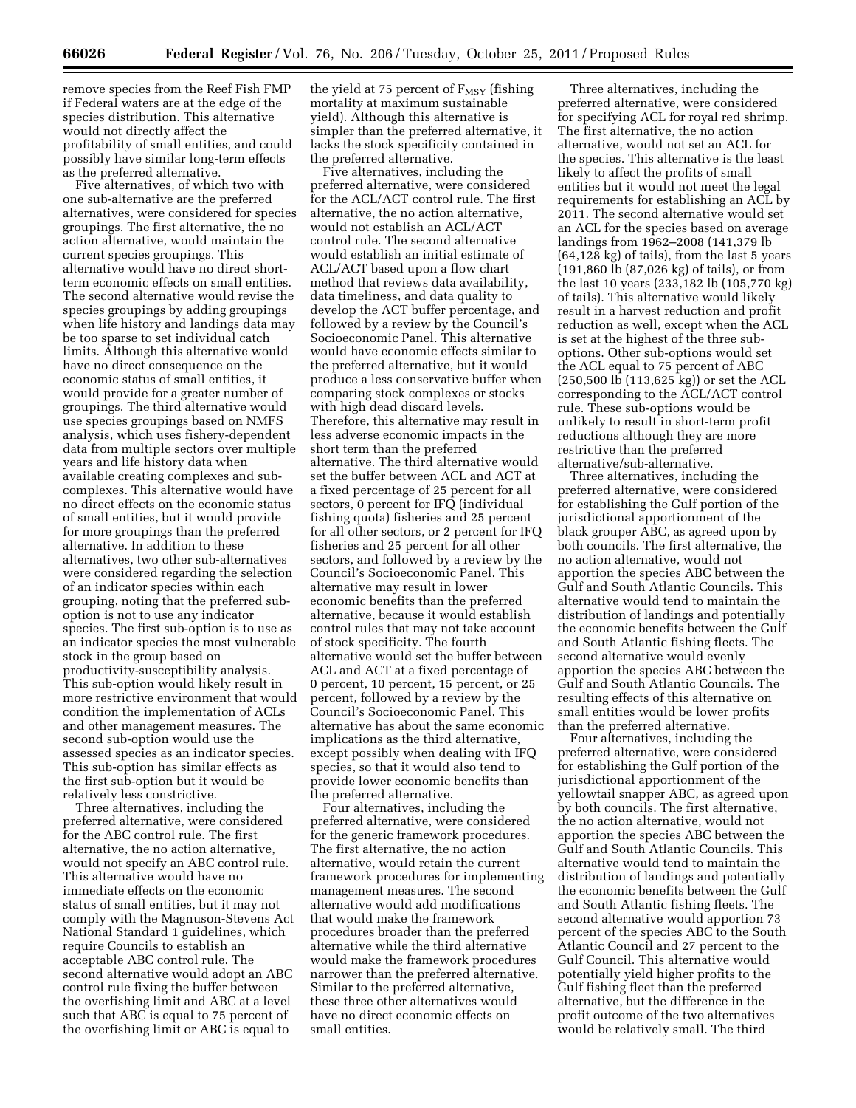remove species from the Reef Fish FMP if Federal waters are at the edge of the species distribution. This alternative would not directly affect the profitability of small entities, and could possibly have similar long-term effects as the preferred alternative.

Five alternatives, of which two with one sub-alternative are the preferred alternatives, were considered for species groupings. The first alternative, the no action alternative, would maintain the current species groupings. This alternative would have no direct shortterm economic effects on small entities. The second alternative would revise the species groupings by adding groupings when life history and landings data may be too sparse to set individual catch limits. Although this alternative would have no direct consequence on the economic status of small entities, it would provide for a greater number of groupings. The third alternative would use species groupings based on NMFS analysis, which uses fishery-dependent data from multiple sectors over multiple years and life history data when available creating complexes and subcomplexes. This alternative would have no direct effects on the economic status of small entities, but it would provide for more groupings than the preferred alternative. In addition to these alternatives, two other sub-alternatives were considered regarding the selection of an indicator species within each grouping, noting that the preferred suboption is not to use any indicator species. The first sub-option is to use as an indicator species the most vulnerable stock in the group based on productivity-susceptibility analysis. This sub-option would likely result in more restrictive environment that would condition the implementation of ACLs and other management measures. The second sub-option would use the assessed species as an indicator species. This sub-option has similar effects as the first sub-option but it would be relatively less constrictive.

Three alternatives, including the preferred alternative, were considered for the ABC control rule. The first alternative, the no action alternative, would not specify an ABC control rule. This alternative would have no immediate effects on the economic status of small entities, but it may not comply with the Magnuson-Stevens Act National Standard 1 guidelines, which require Councils to establish an acceptable ABC control rule. The second alternative would adopt an ABC control rule fixing the buffer between the overfishing limit and ABC at a level such that ABC is equal to 75 percent of the overfishing limit or ABC is equal to

the yield at 75 percent of  $F_{\rm MSY}$  (fishing mortality at maximum sustainable yield). Although this alternative is simpler than the preferred alternative, it lacks the stock specificity contained in the preferred alternative.

Five alternatives, including the preferred alternative, were considered for the ACL/ACT control rule. The first alternative, the no action alternative, would not establish an ACL/ACT control rule. The second alternative would establish an initial estimate of ACL/ACT based upon a flow chart method that reviews data availability, data timeliness, and data quality to develop the ACT buffer percentage, and followed by a review by the Council's Socioeconomic Panel. This alternative would have economic effects similar to the preferred alternative, but it would produce a less conservative buffer when comparing stock complexes or stocks with high dead discard levels. Therefore, this alternative may result in less adverse economic impacts in the short term than the preferred alternative. The third alternative would set the buffer between ACL and ACT at a fixed percentage of 25 percent for all sectors, 0 percent for IFQ (individual fishing quota) fisheries and 25 percent for all other sectors, or 2 percent for IFQ fisheries and 25 percent for all other sectors, and followed by a review by the Council's Socioeconomic Panel. This alternative may result in lower economic benefits than the preferred alternative, because it would establish control rules that may not take account of stock specificity. The fourth alternative would set the buffer between ACL and ACT at a fixed percentage of 0 percent, 10 percent, 15 percent, or 25 percent, followed by a review by the Council's Socioeconomic Panel. This alternative has about the same economic implications as the third alternative, except possibly when dealing with IFQ species, so that it would also tend to provide lower economic benefits than the preferred alternative.

Four alternatives, including the preferred alternative, were considered for the generic framework procedures. The first alternative, the no action alternative, would retain the current framework procedures for implementing management measures. The second alternative would add modifications that would make the framework procedures broader than the preferred alternative while the third alternative would make the framework procedures narrower than the preferred alternative. Similar to the preferred alternative, these three other alternatives would have no direct economic effects on small entities.

Three alternatives, including the preferred alternative, were considered for specifying ACL for royal red shrimp. The first alternative, the no action alternative, would not set an ACL for the species. This alternative is the least likely to affect the profits of small entities but it would not meet the legal requirements for establishing an ACL by 2011. The second alternative would set an ACL for the species based on average landings from 1962–2008 (141,379 lb (64,128 kg) of tails), from the last 5 years (191,860 lb (87,026 kg) of tails), or from the last 10 years (233,182 lb (105,770 kg) of tails). This alternative would likely result in a harvest reduction and profit reduction as well, except when the ACL is set at the highest of the three suboptions. Other sub-options would set the ACL equal to 75 percent of ABC (250,500 lb (113,625 kg)) or set the ACL corresponding to the ACL/ACT control rule. These sub-options would be unlikely to result in short-term profit reductions although they are more restrictive than the preferred alternative/sub-alternative.

Three alternatives, including the preferred alternative, were considered for establishing the Gulf portion of the jurisdictional apportionment of the black grouper ABC, as agreed upon by both councils. The first alternative, the no action alternative, would not apportion the species ABC between the Gulf and South Atlantic Councils. This alternative would tend to maintain the distribution of landings and potentially the economic benefits between the Gulf and South Atlantic fishing fleets. The second alternative would evenly apportion the species ABC between the Gulf and South Atlantic Councils. The resulting effects of this alternative on small entities would be lower profits than the preferred alternative.

Four alternatives, including the preferred alternative, were considered for establishing the Gulf portion of the jurisdictional apportionment of the yellowtail snapper ABC, as agreed upon by both councils. The first alternative, the no action alternative, would not apportion the species ABC between the Gulf and South Atlantic Councils. This alternative would tend to maintain the distribution of landings and potentially the economic benefits between the Gulf and South Atlantic fishing fleets. The second alternative would apportion 73 percent of the species ABC to the South Atlantic Council and 27 percent to the Gulf Council. This alternative would potentially yield higher profits to the Gulf fishing fleet than the preferred alternative, but the difference in the profit outcome of the two alternatives would be relatively small. The third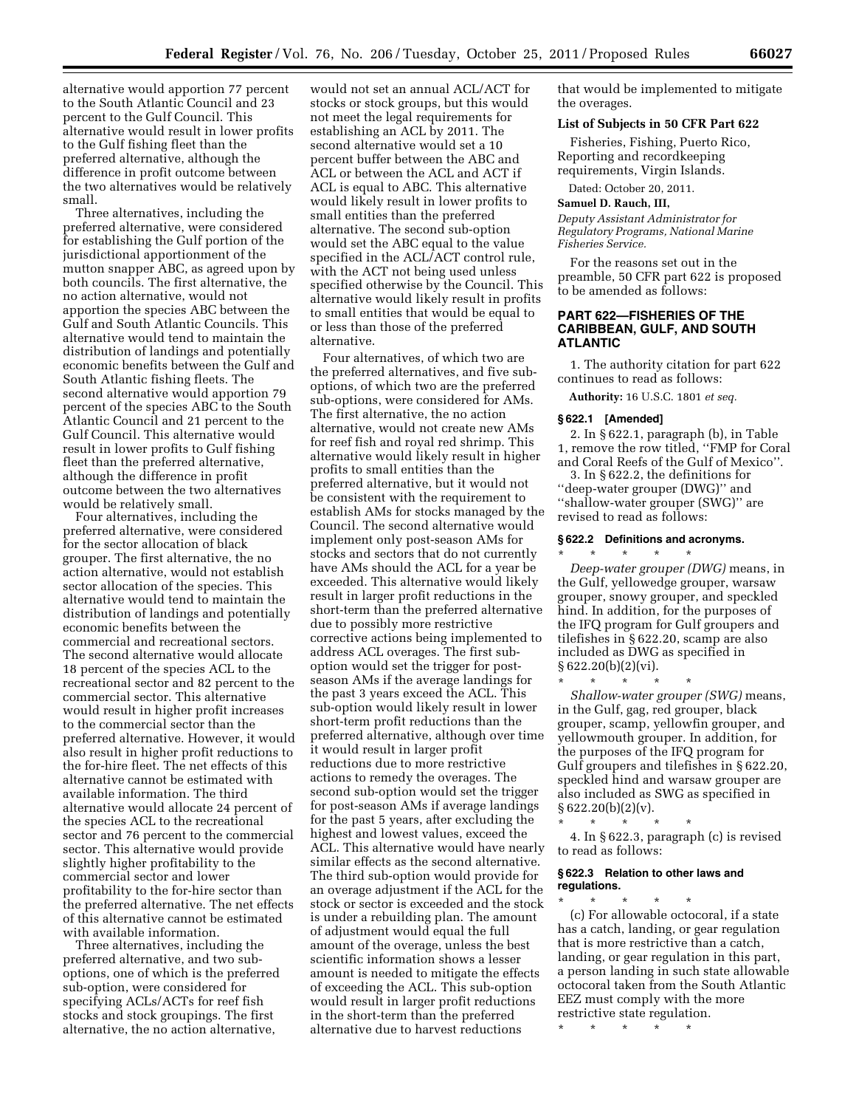alternative would apportion 77 percent to the South Atlantic Council and 23 percent to the Gulf Council. This alternative would result in lower profits to the Gulf fishing fleet than the preferred alternative, although the difference in profit outcome between the two alternatives would be relatively small.

Three alternatives, including the preferred alternative, were considered for establishing the Gulf portion of the jurisdictional apportionment of the mutton snapper ABC, as agreed upon by both councils. The first alternative, the no action alternative, would not apportion the species ABC between the Gulf and South Atlantic Councils. This alternative would tend to maintain the distribution of landings and potentially economic benefits between the Gulf and South Atlantic fishing fleets. The second alternative would apportion 79 percent of the species ABC to the South Atlantic Council and 21 percent to the Gulf Council. This alternative would result in lower profits to Gulf fishing fleet than the preferred alternative, although the difference in profit outcome between the two alternatives would be relatively small.

Four alternatives, including the preferred alternative, were considered for the sector allocation of black grouper. The first alternative, the no action alternative, would not establish sector allocation of the species. This alternative would tend to maintain the distribution of landings and potentially economic benefits between the commercial and recreational sectors. The second alternative would allocate 18 percent of the species ACL to the recreational sector and 82 percent to the commercial sector. This alternative would result in higher profit increases to the commercial sector than the preferred alternative. However, it would also result in higher profit reductions to the for-hire fleet. The net effects of this alternative cannot be estimated with available information. The third alternative would allocate 24 percent of the species ACL to the recreational sector and 76 percent to the commercial sector. This alternative would provide slightly higher profitability to the commercial sector and lower profitability to the for-hire sector than the preferred alternative. The net effects of this alternative cannot be estimated with available information.

Three alternatives, including the preferred alternative, and two suboptions, one of which is the preferred sub-option, were considered for specifying ACLs/ACTs for reef fish stocks and stock groupings. The first alternative, the no action alternative,

would not set an annual ACL/ACT for stocks or stock groups, but this would not meet the legal requirements for establishing an ACL by 2011. The second alternative would set a 10 percent buffer between the ABC and ACL or between the ACL and ACT if ACL is equal to ABC. This alternative would likely result in lower profits to small entities than the preferred alternative. The second sub-option would set the ABC equal to the value specified in the ACL/ACT control rule, with the ACT not being used unless specified otherwise by the Council. This alternative would likely result in profits to small entities that would be equal to or less than those of the preferred alternative.

Four alternatives, of which two are the preferred alternatives, and five suboptions, of which two are the preferred sub-options, were considered for AMs. The first alternative, the no action alternative, would not create new AMs for reef fish and royal red shrimp. This alternative would likely result in higher profits to small entities than the preferred alternative, but it would not be consistent with the requirement to establish AMs for stocks managed by the Council. The second alternative would implement only post-season AMs for stocks and sectors that do not currently have AMs should the ACL for a year be exceeded. This alternative would likely result in larger profit reductions in the short-term than the preferred alternative due to possibly more restrictive corrective actions being implemented to address ACL overages. The first suboption would set the trigger for postseason AMs if the average landings for the past 3 years exceed the ACL. This sub-option would likely result in lower short-term profit reductions than the preferred alternative, although over time it would result in larger profit reductions due to more restrictive actions to remedy the overages. The second sub-option would set the trigger for post-season AMs if average landings for the past 5 years, after excluding the highest and lowest values, exceed the ACL. This alternative would have nearly similar effects as the second alternative. The third sub-option would provide for an overage adjustment if the ACL for the stock or sector is exceeded and the stock is under a rebuilding plan. The amount of adjustment would equal the full amount of the overage, unless the best scientific information shows a lesser amount is needed to mitigate the effects of exceeding the ACL. This sub-option would result in larger profit reductions in the short-term than the preferred alternative due to harvest reductions

that would be implemented to mitigate the overages.

### **List of Subjects in 50 CFR Part 622**

Fisheries, Fishing, Puerto Rico, Reporting and recordkeeping requirements, Virgin Islands.

Dated: October 20, 2011.

### **Samuel D. Rauch, III,**

*Deputy Assistant Administrator for Regulatory Programs, National Marine Fisheries Service.* 

For the reasons set out in the preamble, 50 CFR part 622 is proposed to be amended as follows:

## **PART 622—FISHERIES OF THE CARIBBEAN, GULF, AND SOUTH ATLANTIC**

1. The authority citation for part 622 continues to read as follows:

**Authority:** 16 U.S.C. 1801 *et seq.* 

#### **§ 622.1 [Amended]**

2. In § 622.1, paragraph (b), in Table 1, remove the row titled, ''FMP for Coral and Coral Reefs of the Gulf of Mexico''. 3. In § 622.2, the definitions for ''deep-water grouper (DWG)'' and ''shallow-water grouper (SWG)'' are revised to read as follows:

### **§ 622.2 Definitions and acronyms.**

\* \* \* \* \* *Deep-water grouper (DWG)* means, in the Gulf, yellowedge grouper, warsaw grouper, snowy grouper, and speckled hind. In addition, for the purposes of the IFQ program for Gulf groupers and tilefishes in § 622.20, scamp are also included as DWG as specified in § 622.20(b)(2)(vi).

\* \* \* \* \* *Shallow-water grouper (SWG)* means, in the Gulf, gag, red grouper, black grouper, scamp, yellowfin grouper, and yellowmouth grouper. In addition, for the purposes of the IFQ program for Gulf groupers and tilefishes in § 622.20, speckled hind and warsaw grouper are also included as SWG as specified in  $§ 622.20(b)(2)(v).$ 

\* \* \* \* \* 4. In § 622.3, paragraph (c) is revised to read as follows:

#### **§ 622.3 Relation to other laws and regulations.**

\* \* \* \* \* (c) For allowable octocoral, if a state has a catch, landing, or gear regulation that is more restrictive than a catch, landing, or gear regulation in this part, a person landing in such state allowable octocoral taken from the South Atlantic EEZ must comply with the more restrictive state regulation.

\* \* \* \* \*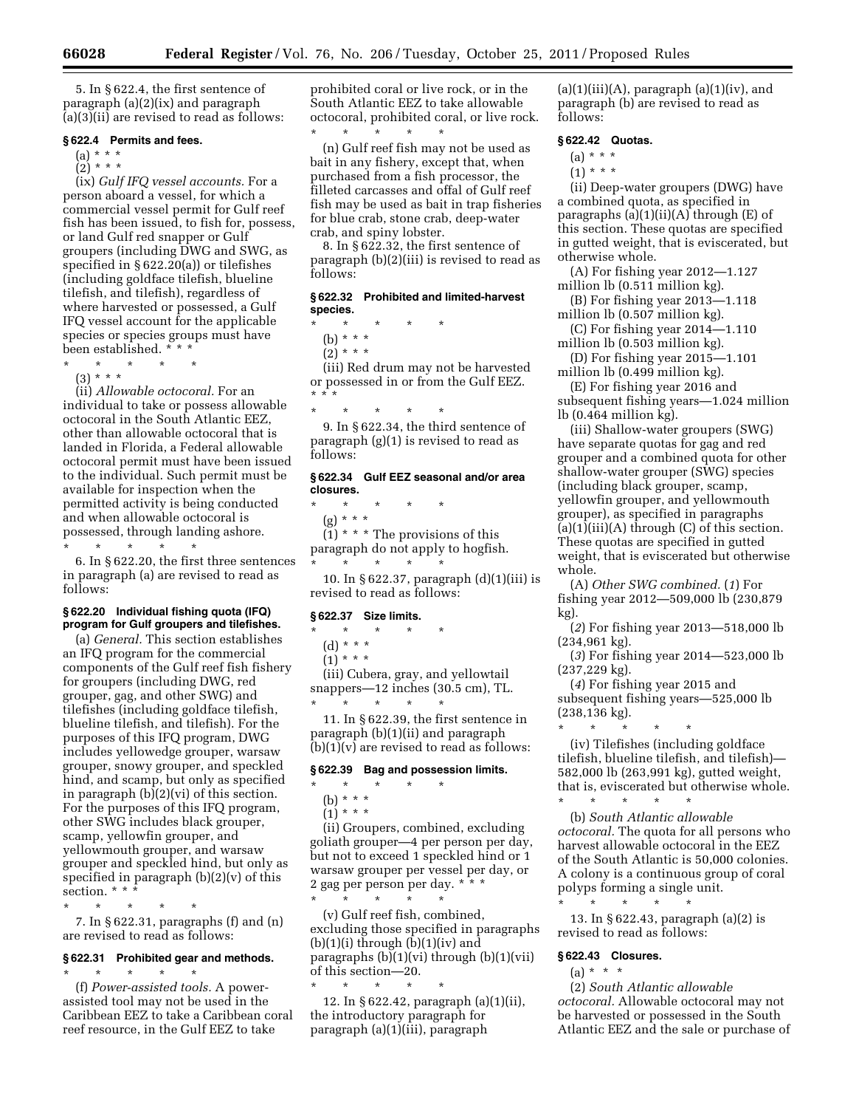5. In § 622.4, the first sentence of paragraph (a)(2)(ix) and paragraph (a)(3)(ii) are revised to read as follows:

### **§ 622.4 Permits and fees.**

 $(a) * * * *$ 

 $(2) * * * *$ 

(ix) *Gulf IFQ vessel accounts.* For a person aboard a vessel, for which a commercial vessel permit for Gulf reef fish has been issued, to fish for, possess, or land Gulf red snapper or Gulf groupers (including DWG and SWG, as specified in § 622.20(a)) or tilefishes (including goldface tilefish, blueline tilefish, and tilefish), regardless of where harvested or possessed, a Gulf IFQ vessel account for the applicable species or species groups must have been established. \* \* \*

- \* \* \* \* \*
- $(3) * * * *$

(ii) *Allowable octocoral.* For an individual to take or possess allowable octocoral in the South Atlantic EEZ, other than allowable octocoral that is landed in Florida, a Federal allowable octocoral permit must have been issued to the individual. Such permit must be available for inspection when the permitted activity is being conducted and when allowable octocoral is possessed, through landing ashore. \* \* \* \* \*

6. In § 622.20, the first three sentences in paragraph (a) are revised to read as follows:

### **§ 622.20 Individual fishing quota (IFQ) program for Gulf groupers and tilefishes.**

(a) *General.* This section establishes an IFQ program for the commercial components of the Gulf reef fish fishery for groupers (including DWG, red grouper, gag, and other SWG) and tilefishes (including goldface tilefish, blueline tilefish, and tilefish). For the purposes of this IFQ program, DWG includes yellowedge grouper, warsaw grouper, snowy grouper, and speckled hind, and scamp, but only as specified in paragraph (b)(2)(vi) of this section. For the purposes of this IFQ program, other SWG includes black grouper, scamp, yellowfin grouper, and yellowmouth grouper, and warsaw grouper and speckled hind, but only as specified in paragraph (b)(2)(v) of this section. \* \* \*

\* \* \* \* \* 7. In § 622.31, paragraphs (f) and (n) are revised to read as follows:

### **§ 622.31 Prohibited gear and methods.**  \* \* \* \* \*

(f) *Power-assisted tools.* A powerassisted tool may not be used in the Caribbean EEZ to take a Caribbean coral reef resource, in the Gulf EEZ to take

prohibited coral or live rock, or in the South Atlantic EEZ to take allowable octocoral, prohibited coral, or live rock.

\* \* \* \* \* (n) Gulf reef fish may not be used as bait in any fishery, except that, when purchased from a fish processor, the filleted carcasses and offal of Gulf reef fish may be used as bait in trap fisheries for blue crab, stone crab, deep-water crab, and spiny lobster.

8. In § 622.32, the first sentence of paragraph (b)(2)(iii) is revised to read as follows:

### **§ 622.32 Prohibited and limited-harvest species.**

- \* \* \* \* \* (b) \* \* \*
	- $(2)$  \* \* \*

(iii) Red drum may not be harvested or possessed in or from the Gulf EEZ. \* \* \*

\* \* \* \* \*

9. In § 622.34, the third sentence of paragraph (g)(1) is revised to read as follows:

## **§ 622.34 Gulf EEZ seasonal and/or area closures.**

\* \* \* \* \* (g) \* \* \*  $(1)$  \* \* \* The provisions of this

paragraph do not apply to hogfish. \* \* \* \* \*

10. In § 622.37, paragraph (d)(1)(iii) is revised to read as follows:

### **§ 622.37 Size limits.**

\* \* \* \* \*

- (d) \* \* \*
- $(1) * * * *$

(iii) Cubera, gray, and yellowtail snappers—12 inches (30.5 cm), TL. \* \* \* \* \*

11. In § 622.39, the first sentence in paragraph (b)(1)(ii) and paragraph  $(b)(1)(v)$  are revised to read as follows:

# **§ 622.39 Bag and possession limits.**

- \* \* \* \* \*
- (b) \* \* \*

 $(1) * * * *$ 

(ii) Groupers, combined, excluding goliath grouper—4 per person per day, but not to exceed 1 speckled hind or 1 warsaw grouper per vessel per day, or 2 gag per person per day. \* \* \* \* \* \* \* \*

(v) Gulf reef fish, combined, excluding those specified in paragraphs  $(b)(1)(i)$  through  $(b)(1)(iv)$  and paragraphs  $(b)(1)(vi)$  through  $(b)(1)(vii)$ of this section—20.

\* \* \* \* \* 12. In § 622.42, paragraph (a)(1)(ii), the introductory paragraph for paragraph (a)(1)(iii), paragraph

 $(a)(1)(iii)(A)$ , paragraph  $(a)(1)(iv)$ , and paragraph (b) are revised to read as follows:

## **§ 622.42 Quotas.**

- $(a) * * * *$
- $(1) * * * *$

(ii) Deep-water groupers (DWG) have a combined quota, as specified in paragraphs  $(a)(1)(ii)(A)$  through  $(E)$  of this section. These quotas are specified in gutted weight, that is eviscerated, but otherwise whole.

(A) For fishing year 2012—1.127 million lb (0.511 million kg).

(B) For fishing year 2013—1.118

million lb (0.507 million kg). (C) For fishing year 2014—1.110

million lb (0.503 million kg).

(D) For fishing year 2015—1.101 million lb (0.499 million kg).

(E) For fishing year 2016 and subsequent fishing years—1.024 million lb (0.464 million kg).

(iii) Shallow-water groupers (SWG) have separate quotas for gag and red grouper and a combined quota for other shallow-water grouper (SWG) species (including black grouper, scamp, yellowfin grouper, and yellowmouth grouper), as specified in paragraphs  $(a)(1)(iii)(A)$  through  $(C)$  of this section. These quotas are specified in gutted weight, that is eviscerated but otherwise whole.

(A) *Other SWG combined.* (*1*) For fishing year 2012—509,000 lb (230,879 kg).

(*2*) For fishing year 2013—518,000 lb (234,961 kg).

(*3*) For fishing year 2014—523,000 lb (237,229 kg).

(*4*) For fishing year 2015 and subsequent fishing years—525,000 lb (238,136 kg).

\* \* \* \* \* (iv) Tilefishes (including goldface tilefish, blueline tilefish, and tilefish)— 582,000 lb (263,991 kg), gutted weight, that is, eviscerated but otherwise whole.

\* \* \* \* \* (b) *South Atlantic allowable octocoral.* The quota for all persons who harvest allowable octocoral in the EEZ of the South Atlantic is 50,000 colonies. A colony is a continuous group of coral polyps forming a single unit.

13. In § 622.43, paragraph (a)(2) is revised to read as follows:

#### **§ 622.43 Closures.**

\* \* \* \* \*

 $(a) * * * *$ 

(2) *South Atlantic allowable octocoral.* Allowable octocoral may not be harvested or possessed in the South Atlantic EEZ and the sale or purchase of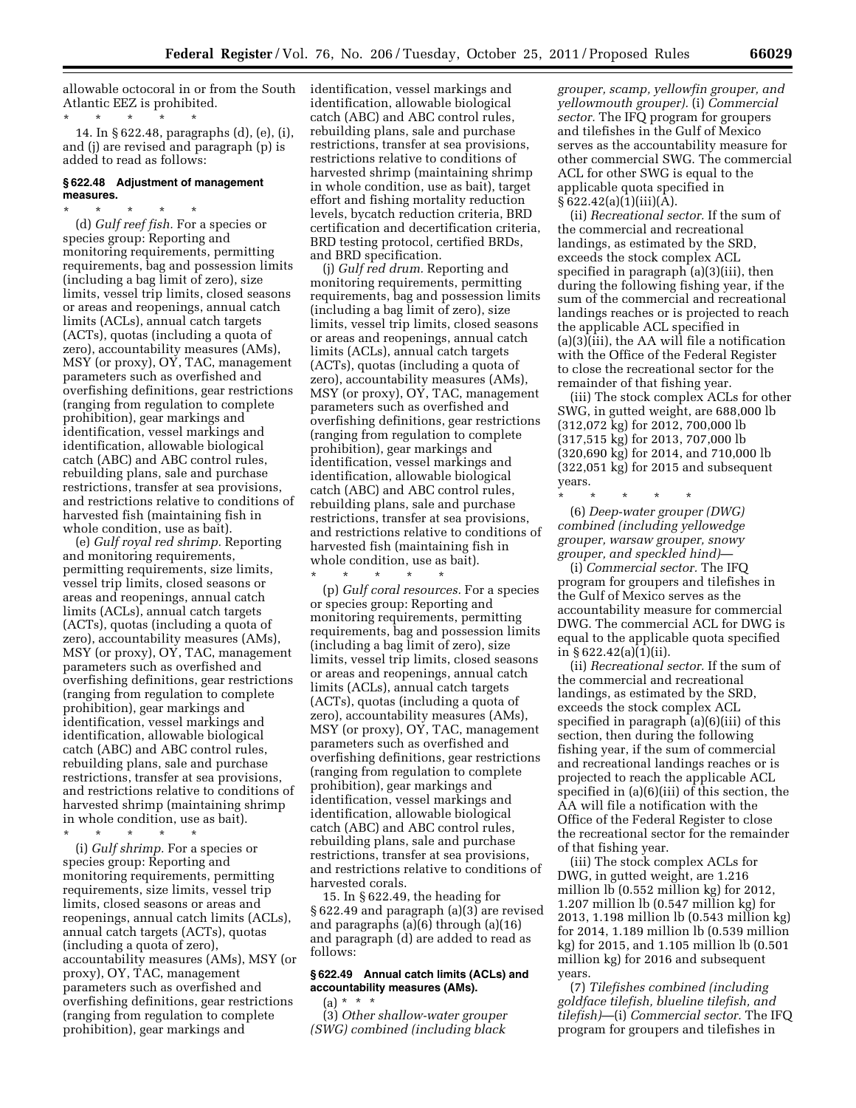allowable octocoral in or from the South identification, vessel markings and Atlantic EEZ is prohibited.

\* \* \* \* \* 14. In § 622.48, paragraphs (d), (e), (i), and (j) are revised and paragraph (p) is added to read as follows:

## **§ 622.48 Adjustment of management measures.**

\* \* \* \* \* (d) *Gulf reef fish.* For a species or species group: Reporting and monitoring requirements, permitting requirements, bag and possession limits (including a bag limit of zero), size limits, vessel trip limits, closed seasons or areas and reopenings, annual catch limits (ACLs), annual catch targets (ACTs), quotas (including a quota of zero), accountability measures (AMs), MSY (or proxy), OY, TAC, management parameters such as overfished and overfishing definitions, gear restrictions (ranging from regulation to complete prohibition), gear markings and identification, vessel markings and identification, allowable biological catch (ABC) and ABC control rules, rebuilding plans, sale and purchase restrictions, transfer at sea provisions, and restrictions relative to conditions of harvested fish (maintaining fish in whole condition, use as bait).

(e) *Gulf royal red shrimp.* Reporting and monitoring requirements, permitting requirements, size limits, vessel trip limits, closed seasons or areas and reopenings, annual catch limits (ACLs), annual catch targets (ACTs), quotas (including a quota of zero), accountability measures (AMs), MSY (or proxy), OY, TAC, management parameters such as overfished and overfishing definitions, gear restrictions (ranging from regulation to complete prohibition), gear markings and identification, vessel markings and identification, allowable biological catch (ABC) and ABC control rules, rebuilding plans, sale and purchase restrictions, transfer at sea provisions, and restrictions relative to conditions of harvested shrimp (maintaining shrimp in whole condition, use as bait).

\* \* \* \* \*

(i) *Gulf shrimp.* For a species or species group: Reporting and monitoring requirements, permitting requirements, size limits, vessel trip limits, closed seasons or areas and reopenings, annual catch limits (ACLs), annual catch targets (ACTs), quotas (including a quota of zero), accountability measures (AMs), MSY (or proxy), OY, TAC, management parameters such as overfished and overfishing definitions, gear restrictions (ranging from regulation to complete prohibition), gear markings and

identification, allowable biological catch (ABC) and ABC control rules, rebuilding plans, sale and purchase restrictions, transfer at sea provisions, restrictions relative to conditions of harvested shrimp (maintaining shrimp in whole condition, use as bait), target effort and fishing mortality reduction levels, bycatch reduction criteria, BRD certification and decertification criteria, BRD testing protocol, certified BRDs, and BRD specification.

(j) *Gulf red drum.* Reporting and monitoring requirements, permitting requirements, bag and possession limits (including a bag limit of zero), size limits, vessel trip limits, closed seasons or areas and reopenings, annual catch limits (ACLs), annual catch targets (ACTs), quotas (including a quota of zero), accountability measures (AMs), MSY (or proxy), OY, TAC, management parameters such as overfished and overfishing definitions, gear restrictions (ranging from regulation to complete prohibition), gear markings and identification, vessel markings and identification, allowable biological catch (ABC) and ABC control rules, rebuilding plans, sale and purchase restrictions, transfer at sea provisions, and restrictions relative to conditions of harvested fish (maintaining fish in whole condition, use as bait).

\* \* \* \* \* (p) *Gulf coral resources.* For a species or species group: Reporting and monitoring requirements, permitting requirements, bag and possession limits (including a bag limit of zero), size limits, vessel trip limits, closed seasons or areas and reopenings, annual catch limits (ACLs), annual catch targets (ACTs), quotas (including a quota of zero), accountability measures (AMs), MSY (or proxy), OY, TAC, management parameters such as overfished and overfishing definitions, gear restrictions (ranging from regulation to complete prohibition), gear markings and identification, vessel markings and identification, allowable biological catch (ABC) and ABC control rules, rebuilding plans, sale and purchase restrictions, transfer at sea provisions, and restrictions relative to conditions of harvested corals.

15. In § 622.49, the heading for § 622.49 and paragraph (a)(3) are revised and paragraphs (a)(6) through (a)(16) and paragraph (d) are added to read as follows:

## **§ 622.49 Annual catch limits (ACLs) and accountability measures (AMs).**

(a) \* \* \* (3) *Other shallow-water grouper (SWG) combined (including black* 

*grouper, scamp, yellowfin grouper, and yellowmouth grouper).* (i) *Commercial sector.* The IFQ program for groupers and tilefishes in the Gulf of Mexico serves as the accountability measure for other commercial SWG. The commercial ACL for other SWG is equal to the applicable quota specified in  $§ 622.42(a)(1)(iii)(A).$ 

(ii) *Recreational sector.* If the sum of the commercial and recreational landings, as estimated by the SRD, exceeds the stock complex ACL specified in paragraph (a)(3)(iii), then during the following fishing year, if the sum of the commercial and recreational landings reaches or is projected to reach the applicable ACL specified in (a)(3)(iii), the AA will file a notification with the Office of the Federal Register to close the recreational sector for the remainder of that fishing year.

(iii) The stock complex ACLs for other SWG, in gutted weight, are 688,000 lb (312,072 kg) for 2012, 700,000 lb (317,515 kg) for 2013, 707,000 lb (320,690 kg) for 2014, and 710,000 lb (322,051 kg) for 2015 and subsequent years.

\* \* \* \* \* (6) *Deep-water grouper (DWG) combined (including yellowedge grouper, warsaw grouper, snowy grouper, and speckled hind)*—

(i) *Commercial sector.* The IFQ program for groupers and tilefishes in the Gulf of Mexico serves as the accountability measure for commercial DWG. The commercial ACL for DWG is equal to the applicable quota specified in § 622.42(a)(1)(ii).

(ii) *Recreational sector.* If the sum of the commercial and recreational landings, as estimated by the SRD, exceeds the stock complex ACL specified in paragraph (a)(6)(iii) of this section, then during the following fishing year, if the sum of commercial and recreational landings reaches or is projected to reach the applicable ACL specified in (a)(6)(iii) of this section, the AA will file a notification with the Office of the Federal Register to close the recreational sector for the remainder of that fishing year.

(iii) The stock complex ACLs for DWG, in gutted weight, are 1.216 million lb (0.552 million kg) for 2012, 1.207 million lb (0.547 million kg) for 2013, 1.198 million lb (0.543 million kg) for 2014, 1.189 million lb (0.539 million kg) for 2015, and 1.105 million lb (0.501 million kg) for 2016 and subsequent years.

(7) *Tilefishes combined (including goldface tilefish, blueline tilefish, and tilefish)*—(i) *Commercial sector.* The IFQ program for groupers and tilefishes in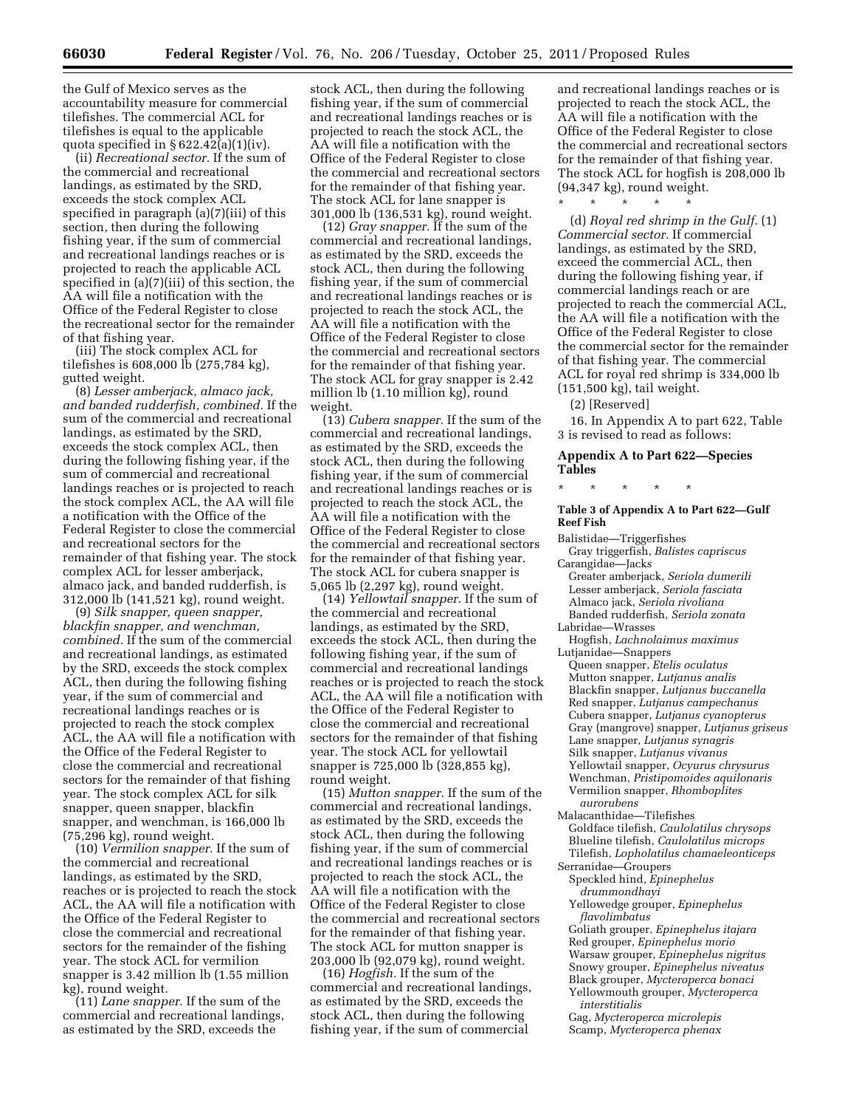the Gulf of Mexico serves as the accountability measure for commercial tilefishes. The commercial ACL for tilefishes is equal to the applicable quota specified in  $\S 622.42(a)(1)(iv)$ .

(ii) *Recreational sector.* If the sum of the commercial and recreational landings, as estimated by the SRD, exceeds the stock complex ACL specified in paragraph (a)(7)(iii) of this section, then during the following fishing year, if the sum of commercial and recreational landings reaches or is projected to reach the applicable ACL specified in (a)(7)(iii) of this section, the AA will file a notification with the Office of the Federal Register to close the recreational sector for the remainder of that fishing year.

(iii) The stock complex ACL for tilefishes is 608,000 lb (275,784 kg), gutted weight.

(8) *Lesser amberjack, almaco jack, and banded rudderfish, combined.* If the sum of the commercial and recreational landings, as estimated by the SRD, exceeds the stock complex ACL, then during the following fishing year, if the sum of commercial and recreational landings reaches or is projected to reach the stock complex ACL, the AA will file a notification with the Office of the Federal Register to close the commercial and recreational sectors for the remainder of that fishing year. The stock complex ACL for lesser amberjack, almaco jack, and banded rudderfish, is 312,000 lb (141,521 kg), round weight.

(9) *Silk snapper, queen snapper, blackfin snapper, and wenchman, combined.* If the sum of the commercial and recreational landings, as estimated by the SRD, exceeds the stock complex ACL, then during the following fishing year, if the sum of commercial and recreational landings reaches or is projected to reach the stock complex ACL, the AA will file a notification with the Office of the Federal Register to close the commercial and recreational sectors for the remainder of that fishing year. The stock complex ACL for silk snapper, queen snapper, blackfin snapper, and wenchman, is 166,000 lb (75,296 kg), round weight.

(10) *Vermilion snapper.* If the sum of the commercial and recreational landings, as estimated by the SRD, reaches or is projected to reach the stock ACL, the AA will file a notification with the Office of the Federal Register to close the commercial and recreational sectors for the remainder of the fishing year. The stock ACL for vermilion snapper is 3.42 million lb (1.55 million kg), round weight.

(11) *Lane snapper.* If the sum of the commercial and recreational landings, as estimated by the SRD, exceeds the

stock ACL, then during the following fishing year, if the sum of commercial and recreational landings reaches or is projected to reach the stock ACL, the AA will file a notification with the Office of the Federal Register to close the commercial and recreational sectors for the remainder of that fishing year. The stock ACL for lane snapper is 301,000 lb (136,531 kg), round weight.

(12) *Gray snapper.* If the sum of the commercial and recreational landings, as estimated by the SRD, exceeds the stock ACL, then during the following fishing year, if the sum of commercial and recreational landings reaches or is projected to reach the stock ACL, the AA will file a notification with the Office of the Federal Register to close the commercial and recreational sectors for the remainder of that fishing year. The stock ACL for gray snapper is 2.42 million lb (1.10 million kg), round weight.

(13) *Cubera snapper.* If the sum of the commercial and recreational landings, as estimated by the SRD, exceeds the stock ACL, then during the following fishing year, if the sum of commercial and recreational landings reaches or is projected to reach the stock ACL, the AA will file a notification with the Office of the Federal Register to close the commercial and recreational sectors for the remainder of that fishing year. The stock ACL for cubera snapper is 5,065 lb (2,297 kg), round weight.

(14) *Yellowtail snapper.* If the sum of the commercial and recreational landings, as estimated by the SRD, exceeds the stock ACL, then during the following fishing year, if the sum of commercial and recreational landings reaches or is projected to reach the stock ACL, the AA will file a notification with the Office of the Federal Register to close the commercial and recreational sectors for the remainder of that fishing year. The stock ACL for yellowtail snapper is 725,000 lb (328,855 kg), round weight.

(15) *Mutton snapper.* If the sum of the commercial and recreational landings, as estimated by the SRD, exceeds the stock ACL, then during the following fishing year, if the sum of commercial and recreational landings reaches or is projected to reach the stock ACL, the AA will file a notification with the Office of the Federal Register to close the commercial and recreational sectors for the remainder of that fishing year. The stock ACL for mutton snapper is 203,000 lb (92,079 kg), round weight.

(16) *Hogfish.* If the sum of the commercial and recreational landings, as estimated by the SRD, exceeds the stock ACL, then during the following fishing year, if the sum of commercial

and recreational landings reaches or is projected to reach the stock ACL, the AA will file a notification with the Office of the Federal Register to close the commercial and recreational sectors for the remainder of that fishing year. The stock ACL for hogfish is 208,000 lb (94,347 kg), round weight.

\* \* \* \* \*

(d) *Royal red shrimp in the Gulf.* (1) *Commercial sector.* If commercial landings, as estimated by the SRD, exceed the commercial ACL, then during the following fishing year, if commercial landings reach or are projected to reach the commercial ACL, the AA will file a notification with the Office of the Federal Register to close the commercial sector for the remainder of that fishing year. The commercial ACL for royal red shrimp is 334,000 lb (151,500 kg), tail weight.

(2) [Reserved]

16. In Appendix A to part 622, Table 3 is revised to read as follows:

## **Appendix A to Part 622—Species Tables**

\* \* \* \* \*

### **Table 3 of Appendix A to Part 622—Gulf Reef Fish**

Balistidae—Triggerfishes Gray triggerfish, *Balistes capriscus*  Carangidae—Jacks Greater amberjack, *Seriola dumerili*  Lesser amberjack, *Seriola fasciata* 

- Almaco jack, *Seriola rivoliana*  Banded rudderfish, *Seriola zonata*  Labridae—Wrasses
- Hogfish, *Lachnolaimus maximus*

Lutjanidae—Snappers

Queen snapper, *Etelis oculatus*  Mutton snapper, *Lutjanus analis*  Blackfin snapper, *Lutjanus buccanella*  Red snapper, *Lutjanus campechanus*  Cubera snapper, *Lutjanus cyanopterus*  Gray (mangrove) snapper, *Lutjanus griseus*  Lane snapper, *Lutjanus synagris*  Silk snapper, *Lutjanus vivanus*  Yellowtail snapper, *Ocyurus chrysurus*  Wenchman, *Pristipomoides aquilonaris*  Vermilion snapper, *Rhomboplites aurorubens* 

Malacanthidae—Tilefishes Goldface tilefish, *Caulolatilus chrysops*  Blueline tilefish, *Caulolatilus microps*  Tilefish, *Lopholatilus chamaeleonticeps* 

- Serranidae—Groupers Speckled hind, *Epinephelus* 
	- *drummondhayi*
	- Yellowedge grouper, *Epinephelus flavolimbatus*

Goliath grouper, *Epinephelus itajara*  Red grouper, *Epinephelus morio*  Warsaw grouper, *Epinephelus nigritus*  Snowy grouper, *Epinephelus niveatus*  Black grouper, *Mycteroperca bonaci*  Yellowmouth grouper, *Mycteroperca interstitialis* 

Gag, *Mycteroperca microlepis*  Scamp, *Mycteroperca phenax*